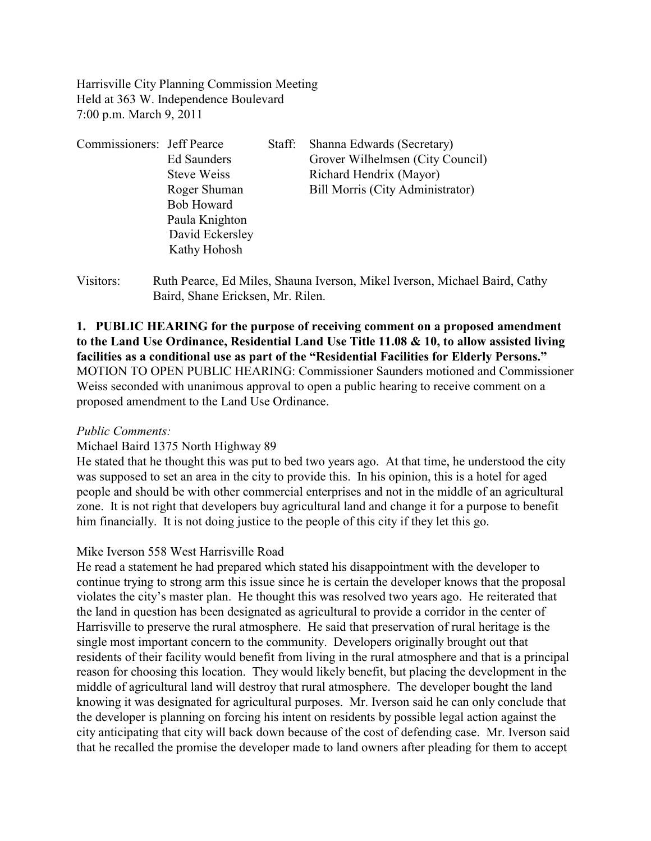Harrisville City Planning Commission Meeting Held at 363 W. Independence Boulevard 7:00 p.m. March 9, 2011

| Commissioners: Jeff Pearce |                    | Staff: | Shanna Edwards (Secretary)       |
|----------------------------|--------------------|--------|----------------------------------|
|                            | Ed Saunders        |        | Grover Wilhelmsen (City Council) |
|                            | <b>Steve Weiss</b> |        | Richard Hendrix (Mayor)          |
|                            | Roger Shuman       |        | Bill Morris (City Administrator) |
|                            | <b>Bob Howard</b>  |        |                                  |
|                            | Paula Knighton     |        |                                  |
|                            | David Eckersley    |        |                                  |
|                            | Kathy Hohosh       |        |                                  |
|                            |                    |        |                                  |

Visitors: Ruth Pearce, Ed Miles, Shauna Iverson, Mikel Iverson, Michael Baird, Cathy Baird, Shane Ericksen, Mr. Rilen.

# **1. PUBLIC HEARING for the purpose of receiving comment on a proposed amendment to the Land Use Ordinance, Residential Land Use Title 11.08 & 10, to allow assisted living facilities as a conditional use as part of the "Residential Facilities for Elderly Persons."**  MOTION TO OPEN PUBLIC HEARING: Commissioner Saunders motioned and Commissioner Weiss seconded with unanimous approval to open a public hearing to receive comment on a proposed amendment to the Land Use Ordinance.

### *Public Comments:*

### Michael Baird 1375 North Highway 89

He stated that he thought this was put to bed two years ago. At that time, he understood the city was supposed to set an area in the city to provide this. In his opinion, this is a hotel for aged people and should be with other commercial enterprises and not in the middle of an agricultural zone. It is not right that developers buy agricultural land and change it for a purpose to benefit him financially. It is not doing justice to the people of this city if they let this go.

### Mike Iverson 558 West Harrisville Road

He read a statement he had prepared which stated his disappointment with the developer to continue trying to strong arm this issue since he is certain the developer knows that the proposal violates the city's master plan. He thought this was resolved two years ago. He reiterated that the land in question has been designated as agricultural to provide a corridor in the center of Harrisville to preserve the rural atmosphere. He said that preservation of rural heritage is the single most important concern to the community. Developers originally brought out that residents of their facility would benefit from living in the rural atmosphere and that is a principal reason for choosing this location. They would likely benefit, but placing the development in the middle of agricultural land will destroy that rural atmosphere. The developer bought the land knowing it was designated for agricultural purposes. Mr. Iverson said he can only conclude that the developer is planning on forcing his intent on residents by possible legal action against the city anticipating that city will back down because of the cost of defending case. Mr. Iverson said that he recalled the promise the developer made to land owners after pleading for them to accept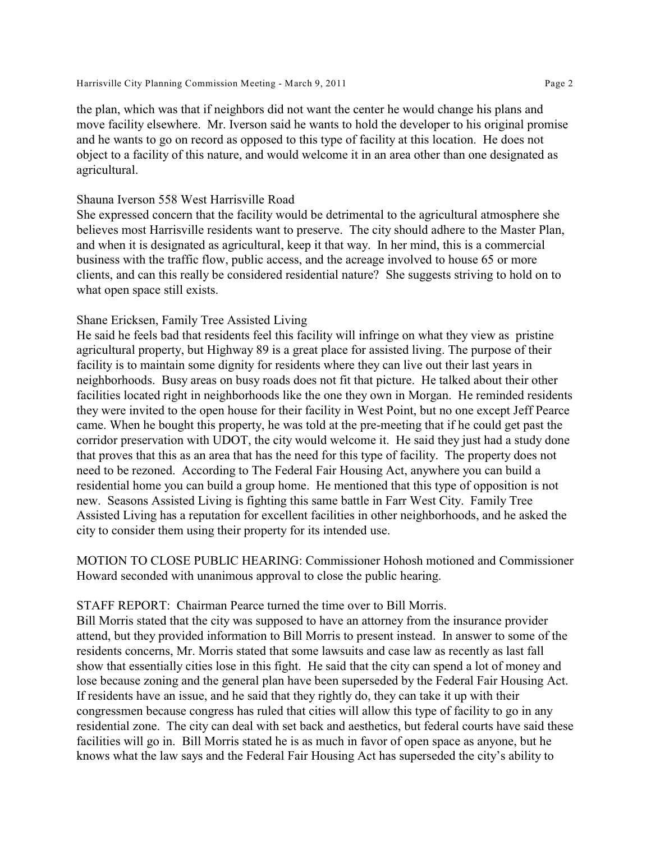the plan, which was that if neighbors did not want the center he would change his plans and move facility elsewhere. Mr. Iverson said he wants to hold the developer to his original promise and he wants to go on record as opposed to this type of facility at this location. He does not object to a facility of this nature, and would welcome it in an area other than one designated as agricultural.

#### Shauna Iverson 558 West Harrisville Road

She expressed concern that the facility would be detrimental to the agricultural atmosphere she believes most Harrisville residents want to preserve. The city should adhere to the Master Plan, and when it is designated as agricultural, keep it that way. In her mind, this is a commercial business with the traffic flow, public access, and the acreage involved to house 65 or more clients, and can this really be considered residential nature? She suggests striving to hold on to what open space still exists.

### Shane Ericksen, Family Tree Assisted Living

He said he feels bad that residents feel this facility will infringe on what they view as pristine agricultural property, but Highway 89 is a great place for assisted living. The purpose of their facility is to maintain some dignity for residents where they can live out their last years in neighborhoods. Busy areas on busy roads does not fit that picture. He talked about their other facilities located right in neighborhoods like the one they own in Morgan. He reminded residents they were invited to the open house for their facility in West Point, but no one except Jeff Pearce came. When he bought this property, he was told at the pre-meeting that if he could get past the corridor preservation with UDOT, the city would welcome it. He said they just had a study done that proves that this as an area that has the need for this type of facility. The property does not need to be rezoned. According to The Federal Fair Housing Act, anywhere you can build a residential home you can build a group home. He mentioned that this type of opposition is not new. Seasons Assisted Living is fighting this same battle in Farr West City. Family Tree Assisted Living has a reputation for excellent facilities in other neighborhoods, and he asked the city to consider them using their property for its intended use.

MOTION TO CLOSE PUBLIC HEARING: Commissioner Hohosh motioned and Commissioner Howard seconded with unanimous approval to close the public hearing.

### STAFF REPORT: Chairman Pearce turned the time over to Bill Morris.

Bill Morris stated that the city was supposed to have an attorney from the insurance provider attend, but they provided information to Bill Morris to present instead. In answer to some of the residents concerns, Mr. Morris stated that some lawsuits and case law as recently as last fall show that essentially cities lose in this fight. He said that the city can spend a lot of money and lose because zoning and the general plan have been superseded by the Federal Fair Housing Act. If residents have an issue, and he said that they rightly do, they can take it up with their congressmen because congress has ruled that cities will allow this type of facility to go in any residential zone. The city can deal with set back and aesthetics, but federal courts have said these facilities will go in. Bill Morris stated he is as much in favor of open space as anyone, but he knows what the law says and the Federal Fair Housing Act has superseded the city's ability to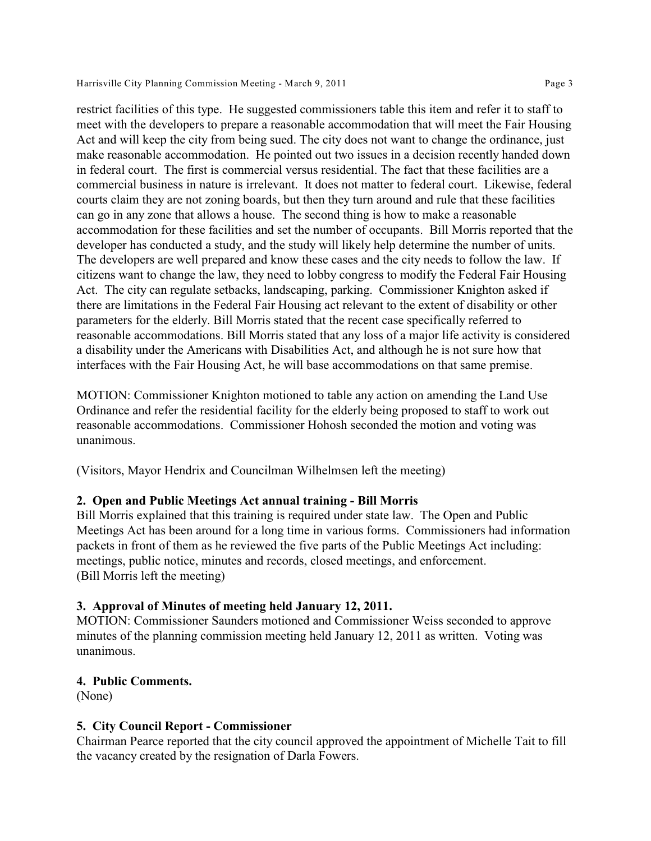restrict facilities of this type. He suggested commissioners table this item and refer it to staff to meet with the developers to prepare a reasonable accommodation that will meet the Fair Housing Act and will keep the city from being sued. The city does not want to change the ordinance, just make reasonable accommodation. He pointed out two issues in a decision recently handed down in federal court. The first is commercial versus residential. The fact that these facilities are a commercial business in nature is irrelevant. It does not matter to federal court. Likewise, federal courts claim they are not zoning boards, but then they turn around and rule that these facilities can go in any zone that allows a house. The second thing is how to make a reasonable accommodation for these facilities and set the number of occupants. Bill Morris reported that the developer has conducted a study, and the study will likely help determine the number of units. The developers are well prepared and know these cases and the city needs to follow the law. If citizens want to change the law, they need to lobby congress to modify the Federal Fair Housing Act. The city can regulate setbacks, landscaping, parking. Commissioner Knighton asked if there are limitations in the Federal Fair Housing act relevant to the extent of disability or other parameters for the elderly. Bill Morris stated that the recent case specifically referred to reasonable accommodations. Bill Morris stated that any loss of a major life activity is considered a disability under the Americans with Disabilities Act, and although he is not sure how that interfaces with the Fair Housing Act, he will base accommodations on that same premise.

MOTION: Commissioner Knighton motioned to table any action on amending the Land Use Ordinance and refer the residential facility for the elderly being proposed to staff to work out reasonable accommodations. Commissioner Hohosh seconded the motion and voting was unanimous.

(Visitors, Mayor Hendrix and Councilman Wilhelmsen left the meeting)

### **2. Open and Public Meetings Act annual training - Bill Morris**

Bill Morris explained that this training is required under state law. The Open and Public Meetings Act has been around for a long time in various forms. Commissioners had information packets in front of them as he reviewed the five parts of the Public Meetings Act including: meetings, public notice, minutes and records, closed meetings, and enforcement. (Bill Morris left the meeting)

### **3. Approval of Minutes of meeting held January 12, 2011.**

MOTION: Commissioner Saunders motioned and Commissioner Weiss seconded to approve minutes of the planning commission meeting held January 12, 2011 as written. Voting was unanimous.

# **4. Public Comments.**

(None)

# **5. City Council Report - Commissioner**

Chairman Pearce reported that the city council approved the appointment of Michelle Tait to fill the vacancy created by the resignation of Darla Fowers.